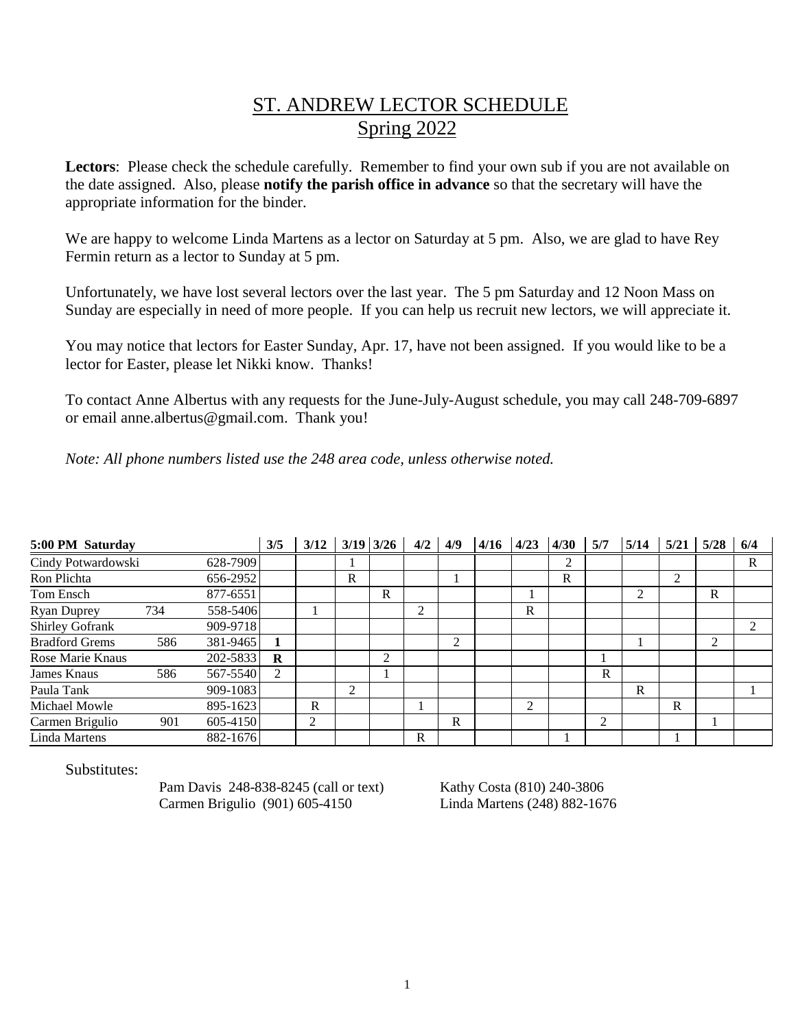## ST. ANDREW LECTOR SCHEDULE Spring 2022

Lectors: Please check the schedule carefully. Remember to find your own sub if you are not available on the date assigned. Also, please **notify the parish office in advance** so that the secretary will have the appropriate information for the binder.

We are happy to welcome Linda Martens as a lector on Saturday at 5 pm. Also, we are glad to have Rey Fermin return as a lector to Sunday at 5 pm.

Unfortunately, we have lost several lectors over the last year. The 5 pm Saturday and 12 Noon Mass on Sunday are especially in need of more people. If you can help us recruit new lectors, we will appreciate it.

You may notice that lectors for Easter Sunday, Apr. 17, have not been assigned. If you would like to be a lector for Easter, please let Nikki know. Thanks!

To contact Anne Albertus with any requests for the June-July-August schedule, you may call 248-709-6897 or email anne.albertus@gmail.com. Thank you!

*Note: All phone numbers listed use the 248 area code, unless otherwise noted.*

| 5:00 PM Saturday      |     |          | 3/5            | 3/12 |   | $3/19$ $3/26$ | 4/2 | 4/9            | 4/16 | 4/23           | 4/30 | 5/7 | 5/14 | 5/21 | 5/28 | 6/4            |
|-----------------------|-----|----------|----------------|------|---|---------------|-----|----------------|------|----------------|------|-----|------|------|------|----------------|
| Cindy Potwardowski    |     | 628-7909 |                |      |   |               |     |                |      |                | 2    |     |      |      |      | R              |
| Ron Plichta           |     | 656-2952 |                |      | R |               |     |                |      |                | R    |     |      | 2    |      |                |
| Tom Ensch             |     | 877-6551 |                |      |   | $\mathbb{R}$  |     |                |      |                |      |     | 2    |      | R    |                |
| <b>Ryan Duprey</b>    | 734 | 558-5406 |                |      |   |               | ↑   |                |      | R              |      |     |      |      |      |                |
| Shirley Gofrank       |     | 909-9718 |                |      |   |               |     |                |      |                |      |     |      |      |      | $\overline{2}$ |
| <b>Bradford Grems</b> | 586 | 381-9465 |                |      |   |               |     | $\mathfrak{D}$ |      |                |      |     |      |      | 2    |                |
| Rose Marie Knaus      |     | 202-5833 | R              |      |   | 2             |     |                |      |                |      |     |      |      |      |                |
| James Knaus           | 586 | 567-5540 | $\overline{2}$ |      |   |               |     |                |      |                |      | R   |      |      |      |                |
| Paula Tank            |     | 909-1083 |                |      | 2 |               |     |                |      |                |      |     | R    |      |      |                |
| Michael Mowle         |     | 895-1623 |                | R    |   |               |     |                |      | $\overline{2}$ |      |     |      | R    |      |                |
| Carmen Brigulio       | 901 | 605-4150 |                | 2    |   |               |     | R              |      |                |      | 2   |      |      |      |                |
| Linda Martens         |     | 882-1676 |                |      |   |               | R   |                |      |                |      |     |      |      |      |                |

Substitutes:

Pam Davis 248-838-8245 (call or text) Kathy Costa (810) 240-3806 Carmen Brigulio (901) 605-4150 Linda Martens (248) 882-1676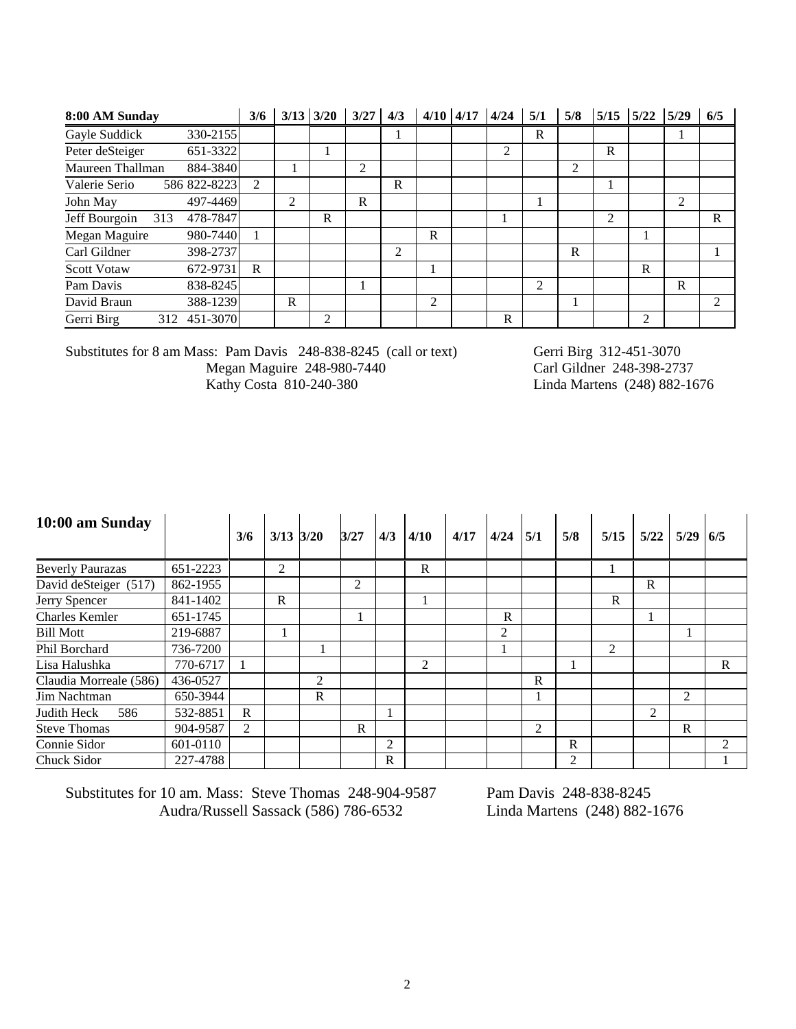| 8:00 AM Sunday                   | 3/6            | $3/13$ $3/20$  |   | 3/27 | 4/3            | 4/10 | 4/17 | 4/24 | 5/1           | 5/8 | 5/15           | 5/22 | 5/29           | 6/5                         |
|----------------------------------|----------------|----------------|---|------|----------------|------|------|------|---------------|-----|----------------|------|----------------|-----------------------------|
| 330-2155<br>Gayle Suddick        |                |                |   |      |                |      |      |      | R             |     |                |      |                |                             |
| Peter deSteiger<br>651-3322      |                |                |   |      |                |      |      | 2    |               |     | R              |      |                |                             |
| 884-3840<br>Maureen Thallman     |                |                |   | 2    |                |      |      |      |               | 2   |                |      |                |                             |
| Valerie Serio<br>586 822-8223    | $\overline{2}$ |                |   |      | R              |      |      |      |               |     |                |      |                |                             |
| John May<br>497-4469             |                | $\overline{c}$ |   | R    |                |      |      |      |               |     |                |      | $\mathfrak{D}$ |                             |
| 478-7847<br>Jeff Bourgoin<br>313 |                |                | R |      |                |      |      |      |               |     | $\overline{2}$ |      |                | R                           |
| Megan Maguire<br>980-7440        |                |                |   |      |                | R    |      |      |               |     |                |      |                |                             |
| 398-2737<br>Carl Gildner         |                |                |   |      | $\overline{c}$ |      |      |      |               | R   |                |      |                |                             |
| 672-9731<br><b>Scott Votaw</b>   | R              |                |   |      |                |      |      |      |               |     |                | R    |                |                             |
| 838-8245<br>Pam Davis            |                |                |   |      |                |      |      |      | $\mathcal{D}$ |     |                |      | R              |                             |
| David Braun<br>388-1239          |                | R              |   |      |                | 2    |      |      |               |     |                |      |                | $\mathcal{D}_{\mathcal{L}}$ |
| Gerri Birg<br>451-3070<br>312    |                |                | 2 |      |                |      |      | R    |               |     |                | 2    |                |                             |

Substitutes for 8 am Mass: Pam Davis 248-838-8245 (call or text) Gerri Birg 312-451-3070<br>Megan Maguire 248-980-7440 Carl Gildner 248-398-2737 Megan Maguire 248-980-7440<br>Kathy Costa 810-240-380

Linda Martens (248) 882-1676

| 10:00 am Sunday         |          | 3/6          | $3/13$ $3/20$ |              | 3/27 | 4/3            | 4/10           | 4/17 | 4/24           | 5/1            | 5/8            | 5/15         | 5/22           | 5/29           | 6/5 |
|-------------------------|----------|--------------|---------------|--------------|------|----------------|----------------|------|----------------|----------------|----------------|--------------|----------------|----------------|-----|
|                         |          |              |               |              |      |                |                |      |                |                |                |              |                |                |     |
| <b>Beverly Paurazas</b> | 651-2223 |              | 2             |              |      |                | $\mathbb{R}$   |      |                |                |                |              |                |                |     |
| David deSteiger (517)   | 862-1955 |              |               |              | 2    |                |                |      |                |                |                |              | R              |                |     |
| Jerry Spencer           | 841-1402 |              | R             |              |      |                |                |      |                |                |                | $\mathbf{R}$ |                |                |     |
| <b>Charles Kemler</b>   | 651-1745 |              |               |              |      |                |                |      | $\mathbf R$    |                |                |              |                |                |     |
| <b>Bill Mott</b>        | 219-6887 |              |               |              |      |                |                |      | $\overline{c}$ |                |                |              |                |                |     |
| Phil Borchard           | 736-7200 |              |               |              |      |                |                |      |                |                |                | 2            |                |                |     |
| Lisa Halushka           | 770-6717 |              |               |              |      |                | $\overline{2}$ |      |                |                |                |              |                |                | R   |
| Claudia Morreale (586)  | 436-0527 |              |               | 2            |      |                |                |      |                | R              |                |              |                |                |     |
| Jim Nachtman            | 650-3944 |              |               | $\mathbf{R}$ |      |                |                |      |                |                |                |              |                | $\overline{2}$ |     |
| Judith Heck<br>586      | 532-8851 | $\mathbb{R}$ |               |              |      |                |                |      |                |                |                |              | $\mathfrak{D}$ |                |     |
| <b>Steve Thomas</b>     | 904-9587 | 2            |               |              | R    |                |                |      |                | $\overline{2}$ |                |              |                | R              |     |
| Connie Sidor            | 601-0110 |              |               |              |      | $\overline{2}$ |                |      |                |                | $\mathbf R$    |              |                |                | 2   |
| Chuck Sidor             | 227-4788 |              |               |              |      | $\mathbb{R}$   |                |      |                |                | $\overline{2}$ |              |                |                |     |

Substitutes for 10 am. Mass: Steve Thomas 248-904-9587 Pam Davis 248-838-8245 Audra/Russell Sassack (586) 786-6532 Linda Martens (248) 882-1676